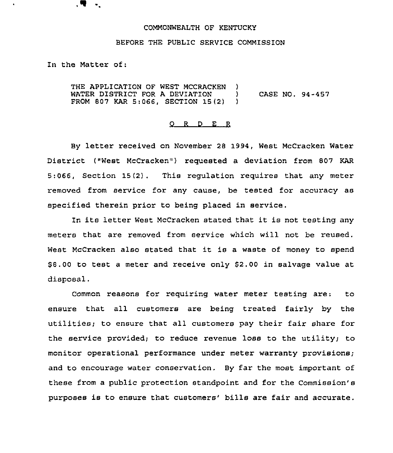## COMMONWEALTH OF KENTUCKY

## BEFORE THE PUBLIC SERVICE COMMISSION

In the Matter of:

Ч.

THE APPLICATION OF WEST MCCRACKEN )<br>WATER DISTRICT FOR A DEVIATION ) WATER DISTRICT FOR A DEVIATION FROM 807 KAR 5:066, SECTION 15(2} } CASE NO. 94-457

## 0 <sup>R</sup> <sup>D</sup> E <sup>R</sup>

By letter received on November <sup>28</sup> 1994, West McCracken Water District ("West McCracken") requested a deviation from 807 KAR 5:066, Section 15(2). This regulation requires that any meter removed from service for any cause, be tested for accuracy as specified therein prior to being placed in service,

In its letter West McCracken stated that it is not testing any meters that are removed from service which will not be reused. West McCracken also stated that it is <sup>a</sup> waste of money to spend 88.00 to test <sup>a</sup> meter and receive only \$2.00 in salvage value at disposal.

Common reasons for requiring water meter testing are: to ensure that all customers are being treated fairly by the utilities; to ensure that all customers pay their fair share for the service provided; to reduce revenue loss to the utility; to monitor operational performance under meter warranty provisions; and to encourage water conservation. By far the most important of these from a public protection standpoint and for the Commission's purposes is to ensure that customers' bills are fair and accurate.